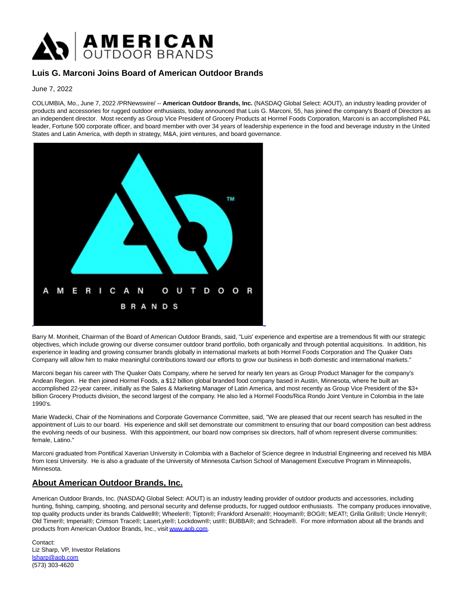

## **Luis G. Marconi Joins Board of American Outdoor Brands**

June 7, 2022

COLUMBIA, Mo., June 7, 2022 /PRNewswire/ -- **American Outdoor Brands, Inc.** (NASDAQ Global Select: AOUT), an industry leading provider of products and accessories for rugged outdoor enthusiasts, today announced that Luis G. Marconi, 55, has joined the company's Board of Directors as an independent director. Most recently as Group Vice President of Grocery Products at Hormel Foods Corporation, Marconi is an accomplished P&L leader, Fortune 500 corporate officer, and board member with over 34 years of leadership experience in the food and beverage industry in the United States and Latin America, with depth in strategy, M&A, joint ventures, and board governance.



Barry M. Monheit, Chairman of the Board of American Outdoor Brands, said, "Luis' experience and expertise are a tremendous fit with our strategic objectives, which include growing our diverse consumer outdoor brand portfolio, both organically and through potential acquisitions. In addition, his experience in leading and growing consumer brands globally in international markets at both Hormel Foods Corporation and The Quaker Oats Company will allow him to make meaningful contributions toward our efforts to grow our business in both domestic and international markets."

Marconi began his career with The Quaker Oats Company, where he served for nearly ten years as Group Product Manager for the company's Andean Region. He then joined Hormel Foods, a \$12 billion global branded food company based in Austin, Minnesota, where he built an accomplished 22-year career, initially as the Sales & Marketing Manager of Latin America, and most recently as Group Vice President of the \$3+ billion Grocery Products division, the second largest of the company. He also led a Hormel Foods/Rica Rondo Joint Venture in Colombia in the late 1990's.

Marie Wadecki, Chair of the Nominations and Corporate Governance Committee, said, "We are pleased that our recent search has resulted in the appointment of Luis to our board. His experience and skill set demonstrate our commitment to ensuring that our board composition can best address the evolving needs of our business. With this appointment, our board now comprises six directors, half of whom represent diverse communities: female, Latino."

Marconi graduated from Pontifical Xaverian University in Colombia with a Bachelor of Science degree in Industrial Engineering and received his MBA from Icesi University. He is also a graduate of the University of Minnesota Carlson School of Management Executive Program in Minneapolis, Minnesota.

## **About American Outdoor Brands, Inc.**

American Outdoor Brands, Inc. (NASDAQ Global Select: AOUT) is an industry leading provider of outdoor products and accessories, including hunting, fishing, camping, shooting, and personal security and defense products, for rugged outdoor enthusiasts. The company produces innovative, top quality products under its brands Caldwell®; Wheeler®; Tipton®; Frankford Arsenal®; Hooyman®; BOG®; MEAT!; Grilla Grills®; Uncle Henry®; Old Timer®; Imperial®; Crimson Trace®; LaserLyte®; Lockdown®; ust®; BUBBA®; and Schrade®. For more information about all the brands and products from American Outdoor Brands, Inc., visit [www.aob.com.](https://c212.net/c/link/?t=0&l=en&o=3558760-1&h=2283243522&u=http%3A%2F%2Fwww.aob.com%2F&a=www.aob.com)

Contact: Liz Sharp, VP, Investor Relations [lsharp@aob.com](mailto:lsharp@aob.com) (573) 303-4620